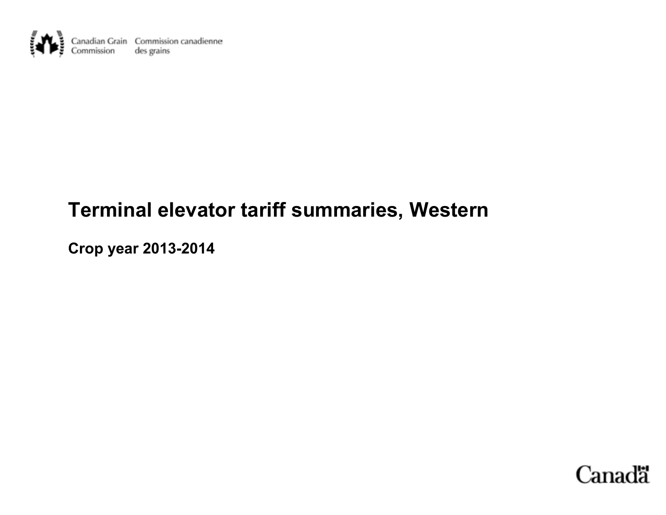

# **Terminal elevator tariff summaries, Western**

**Crop year 2013-2014**

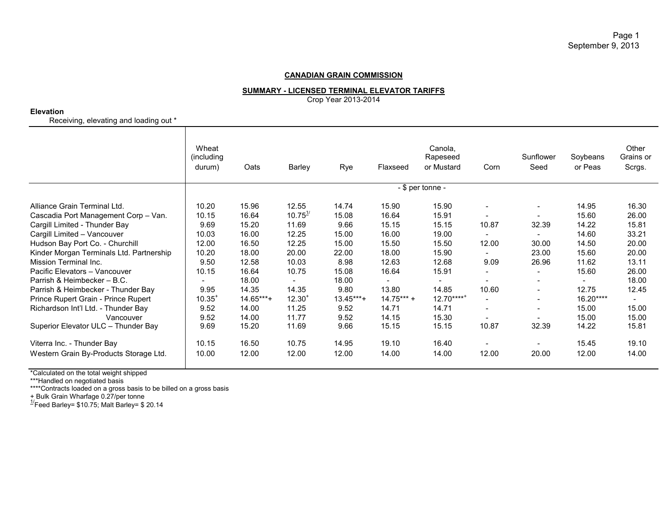## **SUMMARY - LICENSED TERMINAL ELEVATOR TARIFFS**

Crop Year 2013-2014

**Elevation**

Receiving, elevating and loading out \*

|                                                                                                                                                                                                                                                                                                                                                                                                                                                                                      | Wheat<br>(including)<br>durum)                                                                              | Oats                                                                                                                           | Barley                                                                                                                                 | Rye                                                                                                                       | Flaxseed                                                                                                               | Canola,<br>Rapeseed<br>or Mustard                                                                                      | Corn                                                                                                                                                     | Sunflower<br>Seed                                                                                                                                                                                                                                 | Soybeans<br>or Peas                                                                                                                               | Other<br>Grains or<br>Scrgs.                                                                                      |
|--------------------------------------------------------------------------------------------------------------------------------------------------------------------------------------------------------------------------------------------------------------------------------------------------------------------------------------------------------------------------------------------------------------------------------------------------------------------------------------|-------------------------------------------------------------------------------------------------------------|--------------------------------------------------------------------------------------------------------------------------------|----------------------------------------------------------------------------------------------------------------------------------------|---------------------------------------------------------------------------------------------------------------------------|------------------------------------------------------------------------------------------------------------------------|------------------------------------------------------------------------------------------------------------------------|----------------------------------------------------------------------------------------------------------------------------------------------------------|---------------------------------------------------------------------------------------------------------------------------------------------------------------------------------------------------------------------------------------------------|---------------------------------------------------------------------------------------------------------------------------------------------------|-------------------------------------------------------------------------------------------------------------------|
|                                                                                                                                                                                                                                                                                                                                                                                                                                                                                      | - \$ per tonne -                                                                                            |                                                                                                                                |                                                                                                                                        |                                                                                                                           |                                                                                                                        |                                                                                                                        |                                                                                                                                                          |                                                                                                                                                                                                                                                   |                                                                                                                                                   |                                                                                                                   |
| Alliance Grain Terminal Ltd.<br>Cascadia Port Management Corp - Van.<br>Cargill Limited - Thunder Bay<br>Cargill Limited - Vancouver<br>Hudson Bay Port Co. - Churchill<br>Kinder Morgan Terminals Ltd. Partnership<br>Mission Terminal Inc.<br>Pacific Elevators - Vancouver<br>Parrish & Heimbecker - B.C.<br>Parrish & Heimbecker - Thunder Bay<br>Prince Rupert Grain - Prince Rupert<br>Richardson Int'l Ltd. - Thunder Bay<br>Vancouver<br>Superior Elevator ULC - Thunder Bay | 10.20<br>10.15<br>9.69<br>10.03<br>12.00<br>10.20<br>9.50<br>10.15<br>9.95<br>10.35<br>9.52<br>9.52<br>9.69 | 15.96<br>16.64<br>15.20<br>16.00<br>16.50<br>18.00<br>12.58<br>16.64<br>18.00<br>14.35<br>14.65***+<br>14.00<br>14.00<br>15.20 | 12.55<br>$10.75^{1/2}$<br>11.69<br>12.25<br>12.25<br>20.00<br>10.03<br>10.75<br>14.35<br>12.30 <sup>1</sup><br>11.25<br>11.77<br>11.69 | 14.74<br>15.08<br>9.66<br>15.00<br>15.00<br>22.00<br>8.98<br>15.08<br>18.00<br>9.80<br>$13.45***$<br>9.52<br>9.52<br>9.66 | 15.90<br>16.64<br>15.15<br>16.00<br>15.50<br>18.00<br>12.63<br>16.64<br>13.80<br>$14.75***$<br>14.71<br>14.15<br>15.15 | 15.90<br>15.91<br>15.15<br>19.00<br>15.50<br>15.90<br>12.68<br>15.91<br>14.85<br>$12.70***$<br>14.71<br>15.30<br>15.15 | $\overline{\phantom{a}}$<br>10.87<br>12.00<br>9.09<br>10.60<br>$\overline{\phantom{a}}$<br>$\overline{\phantom{a}}$<br>$\overline{\phantom{a}}$<br>10.87 | $\overline{\phantom{a}}$<br>32.39<br>30.00<br>23.00<br>26.96<br>$\qquad \qquad \blacksquare$<br>$\overline{\phantom{0}}$<br>$\overline{\phantom{0}}$<br>$\overline{\phantom{0}}$<br>$\overline{\phantom{0}}$<br>$\overline{\phantom{0}}$<br>32.39 | 14.95<br>15.60<br>14.22<br>14.60<br>14.50<br>15.60<br>11.62<br>15.60<br>$\overline{\phantom{0}}$<br>12.75<br>16.20****<br>15.00<br>15.00<br>14.22 | 16.30<br>26.00<br>15.81<br>33.21<br>20.00<br>20.00<br>13.11<br>26.00<br>18.00<br>12.45<br>15.00<br>15.00<br>15.81 |
| Viterra Inc. - Thunder Bay<br>Western Grain By-Products Storage Ltd.                                                                                                                                                                                                                                                                                                                                                                                                                 | 10.15<br>10.00                                                                                              | 16.50<br>12.00                                                                                                                 | 10.75<br>12.00                                                                                                                         | 14.95<br>12.00                                                                                                            | 19.10<br>14.00                                                                                                         | 16.40<br>14.00                                                                                                         | 12.00                                                                                                                                                    | $\overline{\phantom{a}}$<br>20.00                                                                                                                                                                                                                 | 15.45<br>12.00                                                                                                                                    | 19.10<br>14.00                                                                                                    |

\*Calculated on the total weight shipped

\*\*\*Handled on negotiated basis

\*\*\*\*Contracts loaded on a gross basis to be billed on a gross basis

+ Bulk Grain Wharfage 0.27/per tonne<br><sup>1/</sup>Feed Barley= \$10.75; Malt Barley= \$ 20.14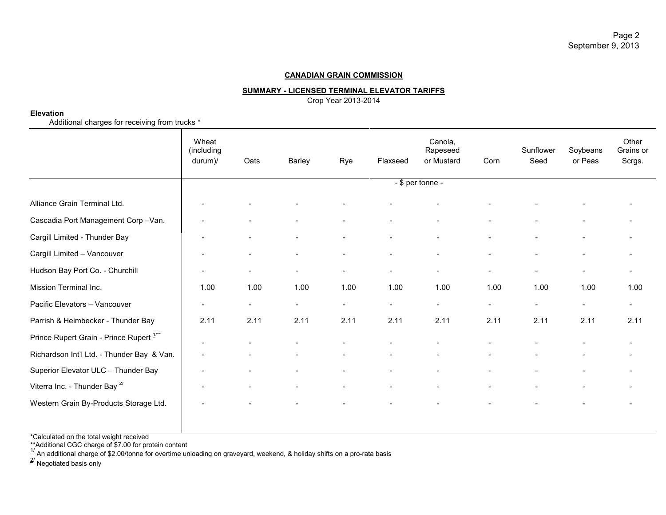## **SUMMARY - LICENSED TERMINAL ELEVATOR TARIFFS**

Crop Year 2013-2014

#### **Elevation**

Additional charges for receiving from trucks \*

|                                                    | Wheat<br>(including<br>durum)/ | Oats                     | Barley                   | Rye                      | Flaxseed                 | Canola,<br>Rapeseed<br>or Mustard | Corn                     | Sunflower<br>Seed        | Soybeans<br>or Peas      | Other<br>Grains or<br>Scrgs. |
|----------------------------------------------------|--------------------------------|--------------------------|--------------------------|--------------------------|--------------------------|-----------------------------------|--------------------------|--------------------------|--------------------------|------------------------------|
|                                                    |                                |                          |                          |                          |                          | $-$ \$ per tonne -                |                          |                          |                          |                              |
| Alliance Grain Terminal Ltd.                       |                                |                          |                          |                          |                          |                                   |                          |                          |                          |                              |
| Cascadia Port Management Corp-Van.                 |                                |                          |                          |                          | $\blacksquare$           |                                   |                          |                          |                          |                              |
| Cargill Limited - Thunder Bay                      |                                |                          | $\blacksquare$           | $\overline{\phantom{a}}$ | $\blacksquare$           | $\overline{\phantom{a}}$          | $\overline{\phantom{a}}$ | $\overline{\phantom{a}}$ | $\overline{\phantom{a}}$ | $\overline{\phantom{a}}$     |
| Cargill Limited - Vancouver                        |                                |                          | $\blacksquare$           |                          | $\blacksquare$           | $\blacksquare$                    |                          |                          | $\overline{\phantom{a}}$ | $\overline{\phantom{a}}$     |
| Hudson Bay Port Co. - Churchill                    | $\qquad \qquad \blacksquare$   | $\overline{\phantom{a}}$ | $\overline{\phantom{a}}$ | $\sim$                   | $\overline{\phantom{a}}$ | $\overline{\phantom{a}}$          | $\overline{\phantom{a}}$ | $\overline{\phantom{a}}$ | $\overline{\phantom{a}}$ | $\overline{\phantom{a}}$     |
| Mission Terminal Inc.                              | 1.00                           | 1.00                     | 1.00                     | 1.00                     | 1.00                     | 1.00                              | 1.00                     | 1.00                     | 1.00                     | 1.00                         |
| Pacific Elevators - Vancouver                      | $\overline{\phantom{0}}$       | $\overline{\phantom{a}}$ | $\sim$                   | $\sim$                   | $\overline{\phantom{a}}$ | $\sim$                            | $\overline{\phantom{a}}$ | $\overline{\phantom{a}}$ | $\sim$                   | $\overline{\phantom{a}}$     |
| Parrish & Heimbecker - Thunder Bay                 | 2.11                           | 2.11                     | 2.11                     | 2.11                     | 2.11                     | 2.11                              | 2.11                     | 2.11                     | 2.11                     | 2.11                         |
| Prince Rupert Grain - Prince Rupert <sup>1"*</sup> |                                |                          |                          |                          |                          |                                   |                          |                          |                          |                              |
| Richardson Int'l Ltd. - Thunder Bay & Van.         |                                |                          | $\overline{\phantom{0}}$ |                          |                          |                                   |                          |                          |                          |                              |
| Superior Elevator ULC - Thunder Bay                |                                |                          | $\overline{\phantom{a}}$ |                          | $\blacksquare$           |                                   |                          |                          |                          |                              |
| Viterra Inc. - Thunder Bay $\frac{2}{3}$           |                                |                          |                          |                          |                          |                                   |                          |                          |                          |                              |
| Western Grain By-Products Storage Ltd.             |                                |                          |                          |                          |                          |                                   |                          |                          |                          |                              |
|                                                    |                                |                          |                          |                          |                          |                                   |                          |                          |                          |                              |

\*Calculated on the total weight received

\*\*Additional CGC charge of \$7.00 for protein content<br><sup>1/</sup> An additional charge of \$2.00/tonne for overtime unloading on graveyard, weekend, & holiday shifts on a pro-rata basis<br><sup>2/</sup> Negotiated basis only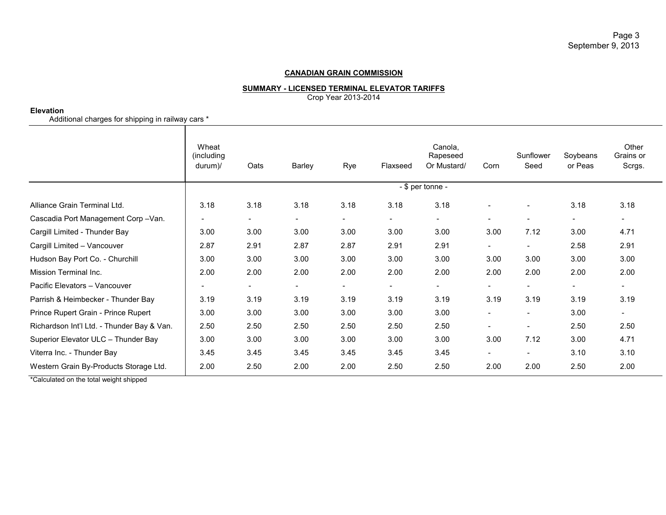#### **SUMMARY - LICENSED TERMINAL ELEVATOR TARIFFS**

Crop Year 2013-2014

#### **Elevation**

Additional charges for shipping in railway cars \*

|                                            | Wheat<br>(including<br>$durum)$ / | Oats           | <b>Barley</b>  | Rye                      | Flaxseed       | Canola,<br>Rapeseed<br>Or Mustard/ | Corn                     | Sunflower<br>Seed        | Soybeans<br>or Peas      | Other<br>Grains or<br>Scrgs. |
|--------------------------------------------|-----------------------------------|----------------|----------------|--------------------------|----------------|------------------------------------|--------------------------|--------------------------|--------------------------|------------------------------|
|                                            | - \$ per tonne -                  |                |                |                          |                |                                    |                          |                          |                          |                              |
| Alliance Grain Terminal Ltd.               | 3.18                              | 3.18           | 3.18           | 3.18                     | 3.18           | 3.18                               | $\overline{\phantom{a}}$ |                          | 3.18                     | 3.18                         |
| Cascadia Port Management Corp-Van.         |                                   | $\blacksquare$ | $\blacksquare$ | $\sim$                   | $\sim$         | $\sim$                             | $\overline{\phantom{a}}$ | $\overline{\phantom{a}}$ | $\overline{\phantom{a}}$ | $\blacksquare$               |
| Cargill Limited - Thunder Bay              | 3.00                              | 3.00           | 3.00           | 3.00                     | 3.00           | 3.00                               | 3.00                     | 7.12                     | 3.00                     | 4.71                         |
| Cargill Limited - Vancouver                | 2.87                              | 2.91           | 2.87           | 2.87                     | 2.91           | 2.91                               | $\blacksquare$           | $\sim$                   | 2.58                     | 2.91                         |
| Hudson Bay Port Co. - Churchill            | 3.00                              | 3.00           | 3.00           | 3.00                     | 3.00           | 3.00                               | 3.00                     | 3.00                     | 3.00                     | 3.00                         |
| Mission Terminal Inc.                      | 2.00                              | 2.00           | 2.00           | 2.00                     | 2.00           | 2.00                               | 2.00                     | 2.00                     | 2.00                     | 2.00                         |
| Pacific Elevators - Vancouver              |                                   | $\blacksquare$ | $\blacksquare$ | $\overline{\phantom{a}}$ | $\blacksquare$ | $\overline{\phantom{0}}$           | $\blacksquare$           | $\sim$                   | $\overline{\phantom{a}}$ | $\overline{\phantom{a}}$     |
| Parrish & Heimbecker - Thunder Bay         | 3.19                              | 3.19           | 3.19           | 3.19                     | 3.19           | 3.19                               | 3.19                     | 3.19                     | 3.19                     | 3.19                         |
| Prince Rupert Grain - Prince Rupert        | 3.00                              | 3.00           | 3.00           | 3.00                     | 3.00           | 3.00                               | $\overline{\phantom{a}}$ |                          | 3.00                     | $\overline{\phantom{a}}$     |
| Richardson Int'l Ltd. - Thunder Bay & Van. | 2.50                              | 2.50           | 2.50           | 2.50                     | 2.50           | 2.50                               | $\overline{\phantom{a}}$ | $\sim$                   | 2.50                     | 2.50                         |
| Superior Elevator ULC - Thunder Bay        | 3.00                              | 3.00           | 3.00           | 3.00                     | 3.00           | 3.00                               | 3.00                     | 7.12                     | 3.00                     | 4.71                         |
| Viterra Inc. - Thunder Bay                 | 3.45                              | 3.45           | 3.45           | 3.45                     | 3.45           | 3.45                               | $\overline{\phantom{a}}$ |                          | 3.10                     | 3.10                         |
| Western Grain By-Products Storage Ltd.     | 2.00                              | 2.50           | 2.00           | 2.00                     | 2.50           | 2.50                               | 2.00                     | 2.00                     | 2.50                     | 2.00                         |

\*Calculated on the total weight shipped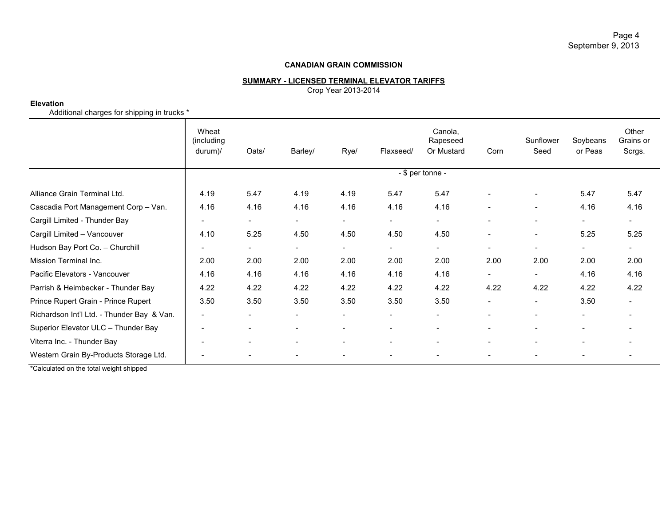Page 4 September 9, 2013

## **CANADIAN GRAIN COMMISSION**

## **SUMMARY - LICENSED TERMINAL ELEVATOR TARIFFS**

Crop Year 2013-2014

#### **Elevation**

Additional charges for shipping in trucks \*

|                                            | Wheat<br>(including<br>$durum$ )/ | Oats/                    | Barley/                  | Rye/                     | Flaxseed/                | Canola,<br>Rapeseed<br>Or Mustard | Corn                     | Sunflower<br>Seed        | Soybeans<br>or Peas      | Other<br>Grains or<br>Scrgs. |  |
|--------------------------------------------|-----------------------------------|--------------------------|--------------------------|--------------------------|--------------------------|-----------------------------------|--------------------------|--------------------------|--------------------------|------------------------------|--|
|                                            | - \$ per tonne -                  |                          |                          |                          |                          |                                   |                          |                          |                          |                              |  |
| Alliance Grain Terminal Ltd.               | 4.19                              | 5.47                     | 4.19                     | 4.19                     | 5.47                     | 5.47                              |                          |                          | 5.47                     | 5.47                         |  |
| Cascadia Port Management Corp - Van.       | 4.16                              | 4.16                     | 4.16                     | 4.16                     | 4.16                     | 4.16                              |                          | $\overline{\phantom{a}}$ | 4.16                     | 4.16                         |  |
| Cargill Limited - Thunder Bay              |                                   | $\overline{\phantom{a}}$ | $\overline{\phantom{a}}$ | $\overline{\phantom{a}}$ | $\overline{\phantom{a}}$ | $\sim$                            |                          | $\overline{\phantom{a}}$ | $\overline{\phantom{0}}$ |                              |  |
| Cargill Limited - Vancouver                | 4.10                              | 5.25                     | 4.50                     | 4.50                     | 4.50                     | 4.50                              |                          | $\overline{\phantom{a}}$ | 5.25                     | 5.25                         |  |
| Hudson Bay Port Co. - Churchill            |                                   | $\overline{\phantom{a}}$ | $\overline{\phantom{a}}$ | $\overline{\phantom{a}}$ | $\blacksquare$           | $\sim$                            | $\overline{\phantom{a}}$ | $\overline{\phantom{a}}$ | $\sim$                   | $\overline{\phantom{a}}$     |  |
| Mission Terminal Inc.                      | 2.00                              | 2.00                     | 2.00                     | 2.00                     | 2.00                     | 2.00                              | 2.00                     | 2.00                     | 2.00                     | 2.00                         |  |
| Pacific Elevators - Vancouver              | 4.16                              | 4.16                     | 4.16                     | 4.16                     | 4.16                     | 4.16                              | $\overline{\phantom{0}}$ | $\overline{\phantom{a}}$ | 4.16                     | 4.16                         |  |
| Parrish & Heimbecker - Thunder Bay         | 4.22                              | 4.22                     | 4.22                     | 4.22                     | 4.22                     | 4.22                              | 4.22                     | 4.22                     | 4.22                     | 4.22                         |  |
| Prince Rupert Grain - Prince Rupert        | 3.50                              | 3.50                     | 3.50                     | 3.50                     | 3.50                     | 3.50                              |                          | $\overline{\phantom{a}}$ | 3.50                     |                              |  |
| Richardson Int'l Ltd. - Thunder Bay & Van. |                                   | $\overline{\phantom{a}}$ |                          |                          |                          |                                   |                          | $\overline{\phantom{a}}$ | $\overline{\phantom{a}}$ |                              |  |
| Superior Elevator ULC - Thunder Bay        |                                   | $\overline{\phantom{a}}$ | $\overline{\phantom{a}}$ |                          | ۰                        |                                   | -                        | $\overline{\phantom{a}}$ | $\overline{\phantom{0}}$ |                              |  |
| Viterra Inc. - Thunder Bay                 |                                   | $\overline{\phantom{a}}$ | $\overline{\phantom{a}}$ | $\overline{\phantom{a}}$ | $\blacksquare$           |                                   | ۰                        | $\overline{\phantom{a}}$ | $\overline{\phantom{a}}$ |                              |  |
| Western Grain By-Products Storage Ltd.     |                                   | $\overline{\phantom{a}}$ |                          |                          | ۰                        |                                   |                          |                          |                          |                              |  |

\*Calculated on the total weight shipped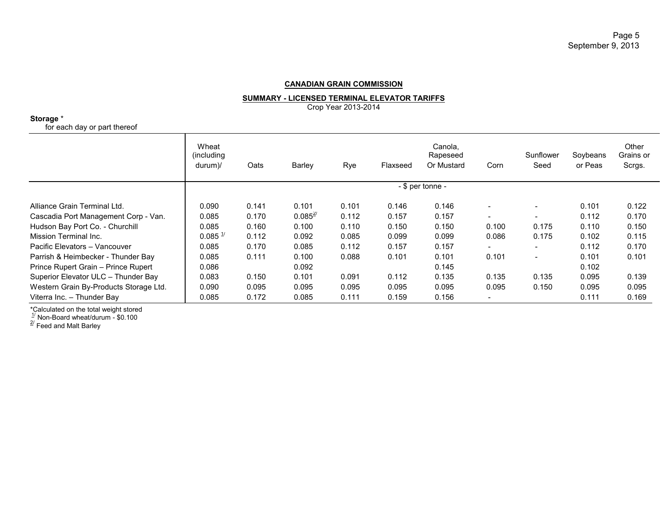**SUMMARY - LICENSED TERMINAL ELEVATOR TARIFFS**

Crop Year 2013-2014

**Storage** \*

for each day or part thereof

|                                        | Wheat<br>(including)<br>durum)/    | Oats  | Barley       | Rye   | Flaxseed | Canola,<br>Rapeseed<br>Or Mustard | Corn                     | Sunflower<br>Seed        | Soybeans<br>or Peas | Other<br>Grains or<br>Scrgs. |
|----------------------------------------|------------------------------------|-------|--------------|-------|----------|-----------------------------------|--------------------------|--------------------------|---------------------|------------------------------|
|                                        | - \$ per tonne -                   |       |              |       |          |                                   |                          |                          |                     |                              |
| Alliance Grain Terminal Ltd.           | 0.090                              | 0.141 | 0.101        | 0.101 | 0.146    | 0.146                             |                          |                          | 0.101               | 0.122                        |
| Cascadia Port Management Corp - Van.   | 0.085                              | 0.170 | $0.085^{27}$ | 0.112 | 0.157    | 0.157                             | $\overline{\phantom{0}}$ | $\overline{\phantom{0}}$ | 0.112               | 0.170                        |
| Hudson Bay Port Co. - Churchill        | 0.085                              | 0.160 | 0.100        | 0.110 | 0.150    | 0.150                             | 0.100                    | 0.175                    | 0.110               | 0.150                        |
| Mission Terminal Inc.                  | $0.085$ <sup><math>1/</math></sup> | 0.112 | 0.092        | 0.085 | 0.099    | 0.099                             | 0.086                    | 0.175                    | 0.102               | 0.115                        |
| Pacific Elevators - Vancouver          | 0.085                              | 0.170 | 0.085        | 0.112 | 0.157    | 0.157                             | $\overline{\phantom{0}}$ | $\overline{\phantom{0}}$ | 0.112               | 0.170                        |
| Parrish & Heimbecker - Thunder Bay     | 0.085                              | 0.111 | 0.100        | 0.088 | 0.101    | 0.101                             | 0.101                    | $\overline{\phantom{a}}$ | 0.101               | 0.101                        |
| Prince Rupert Grain - Prince Rupert    | 0.086                              |       | 0.092        |       |          | 0.145                             |                          |                          | 0.102               |                              |
| Superior Elevator ULC - Thunder Bay    | 0.083                              | 0.150 | 0.101        | 0.091 | 0.112    | 0.135                             | 0.135                    | 0.135                    | 0.095               | 0.139                        |
| Western Grain By-Products Storage Ltd. | 0.090                              | 0.095 | 0.095        | 0.095 | 0.095    | 0.095                             | 0.095                    | 0.150                    | 0.095               | 0.095                        |
| Viterra Inc. - Thunder Bay             | 0.085                              | 0.172 | 0.085        | 0.111 | 0.159    | 0.156                             | $\overline{\phantom{a}}$ |                          | 0.111               | 0.169                        |

\*Calculated on the total weight stored<br><sup>1/</sup> Non-Board wheat/durum - \$0.100<br><sup>2/</sup> Feed and Malt Barley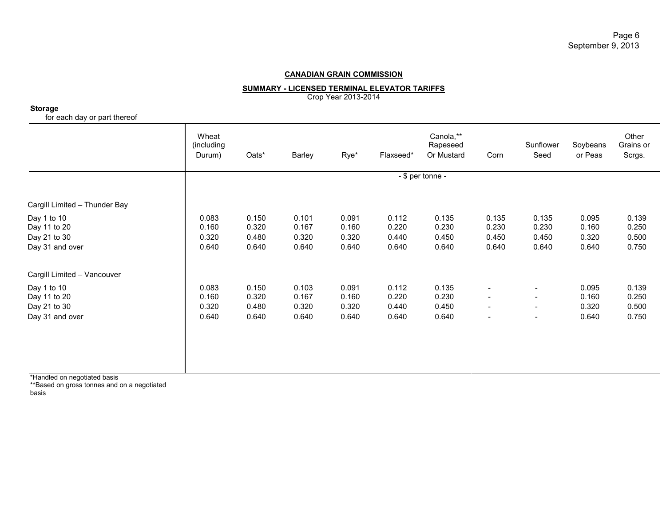**SUMMARY - LICENSED TERMINAL ELEVATOR TARIFFS**

Crop Year 2013-2014

**Storage**

for each day or part thereof

|                                                                | Wheat<br>(including<br>Durum)    | Oats*                            | Barley                           | Rye*                             | Flaxseed*                        | Canola,**<br>Rapeseed<br>Or Mustard | Corn                                                                                                         | Sunflower<br>Seed                                                                                            | Soybeans<br>or Peas              | Other<br>Grains or<br>Scrgs.     |  |
|----------------------------------------------------------------|----------------------------------|----------------------------------|----------------------------------|----------------------------------|----------------------------------|-------------------------------------|--------------------------------------------------------------------------------------------------------------|--------------------------------------------------------------------------------------------------------------|----------------------------------|----------------------------------|--|
|                                                                |                                  | $-$ \$ per tonne $-$             |                                  |                                  |                                  |                                     |                                                                                                              |                                                                                                              |                                  |                                  |  |
| Cargill Limited - Thunder Bay                                  |                                  |                                  |                                  |                                  |                                  |                                     |                                                                                                              |                                                                                                              |                                  |                                  |  |
| Day 1 to 10<br>Day 11 to 20<br>Day 21 to 30<br>Day 31 and over | 0.083<br>0.160<br>0.320<br>0.640 | 0.150<br>0.320<br>0.480<br>0.640 | 0.101<br>0.167<br>0.320<br>0.640 | 0.091<br>0.160<br>0.320<br>0.640 | 0.112<br>0.220<br>0.440<br>0.640 | 0.135<br>0.230<br>0.450<br>0.640    | 0.135<br>0.230<br>0.450<br>0.640                                                                             | 0.135<br>0.230<br>0.450<br>0.640                                                                             | 0.095<br>0.160<br>0.320<br>0.640 | 0.139<br>0.250<br>0.500<br>0.750 |  |
| Cargill Limited - Vancouver                                    |                                  |                                  |                                  |                                  |                                  |                                     |                                                                                                              |                                                                                                              |                                  |                                  |  |
| Day 1 to 10<br>Day 11 to 20<br>Day 21 to 30<br>Day 31 and over | 0.083<br>0.160<br>0.320<br>0.640 | 0.150<br>0.320<br>0.480<br>0.640 | 0.103<br>0.167<br>0.320<br>0.640 | 0.091<br>0.160<br>0.320<br>0.640 | 0.112<br>0.220<br>0.440<br>0.640 | 0.135<br>0.230<br>0.450<br>0.640    | $\overline{\phantom{a}}$<br>$\overline{\phantom{a}}$<br>$\overline{\phantom{a}}$<br>$\overline{\phantom{a}}$ | $\overline{\phantom{a}}$<br>$\overline{\phantom{a}}$<br>$\overline{\phantom{a}}$<br>$\overline{\phantom{a}}$ | 0.095<br>0.160<br>0.320<br>0.640 | 0.139<br>0.250<br>0.500<br>0.750 |  |

\*Handled on negotiated basis

\*\*Based on gross tonnes and on a negotiated

basis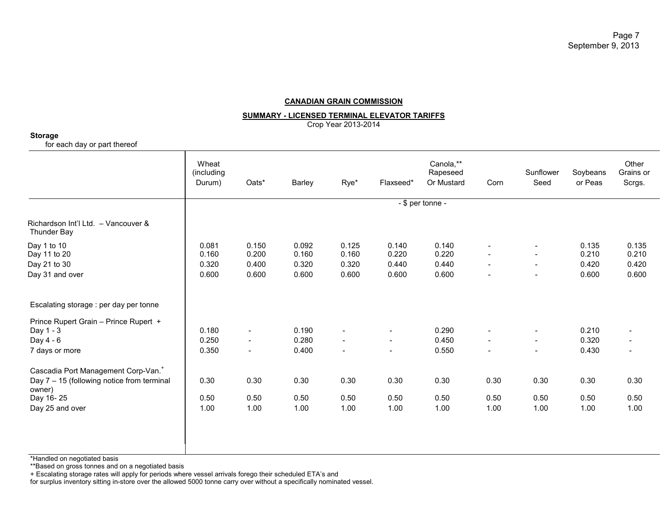#### **SUMMARY - LICENSED TERMINAL ELEVATOR TARIFFS**

Crop Year 2013-2014

#### **Storage**

for each day or part thereof

|                                                           | Wheat<br>(including<br>Durum) | Oats*                    | Barley | Rye*                     | Flaxseed*                | Canola,**<br>Rapeseed<br>Or Mustard | Corn                     | Sunflower<br>Seed        | Soybeans<br>or Peas | Other<br>Grains or<br>Scrgs. |  |  |
|-----------------------------------------------------------|-------------------------------|--------------------------|--------|--------------------------|--------------------------|-------------------------------------|--------------------------|--------------------------|---------------------|------------------------------|--|--|
|                                                           | - \$ per tonne -              |                          |        |                          |                          |                                     |                          |                          |                     |                              |  |  |
| Richardson Int'l Ltd. - Vancouver &<br><b>Thunder Bay</b> |                               |                          |        |                          |                          |                                     |                          |                          |                     |                              |  |  |
| Day 1 to 10                                               | 0.081                         | 0.150                    | 0.092  | 0.125                    | 0.140                    | 0.140                               | $\overline{\phantom{a}}$ | $\sim$                   | 0.135               | 0.135                        |  |  |
| Day 11 to 20                                              | 0.160                         | 0.200                    | 0.160  | 0.160                    | 0.220                    | 0.220                               | $\sim$                   | $\sim$                   | 0.210               | 0.210                        |  |  |
| Day 21 to 30                                              | 0.320                         | 0.400                    | 0.320  | 0.320                    | 0.440                    | 0.440                               | $\sim$                   | $\sim$                   | 0.420               | 0.420                        |  |  |
| Day 31 and over                                           | 0.600                         | 0.600                    | 0.600  | 0.600                    | 0.600                    | 0.600                               |                          |                          | 0.600               | 0.600                        |  |  |
| Escalating storage : per day per tonne                    |                               |                          |        |                          |                          |                                     |                          |                          |                     |                              |  |  |
| Prince Rupert Grain - Prince Rupert +                     |                               |                          |        |                          |                          |                                     |                          |                          |                     |                              |  |  |
| Day 1 - 3                                                 | 0.180                         | $\sim$                   | 0.190  | $\blacksquare$           | $\blacksquare$           | 0.290                               | $\sim$                   | $\sim$                   | 0.210               |                              |  |  |
| Day 4 - 6                                                 | 0.250                         | $\overline{\phantom{a}}$ | 0.280  | $\sim$                   | $\overline{\phantom{a}}$ | 0.450                               | $\blacksquare$           | $\sim$                   | 0.320               |                              |  |  |
| 7 days or more                                            | 0.350                         | $\overline{\phantom{a}}$ | 0.400  | $\overline{\phantom{a}}$ | $\overline{\phantom{a}}$ | 0.550                               | $\blacksquare$           | $\overline{\phantom{a}}$ | 0.430               |                              |  |  |
| Cascadia Port Management Corp-Van. <sup>+</sup>           |                               |                          |        |                          |                          |                                     |                          |                          |                     |                              |  |  |
| Day $7 - 15$ (following notice from terminal<br>owner)    | 0.30                          | 0.30                     | 0.30   | 0.30                     | 0.30                     | 0.30                                | 0.30                     | 0.30                     | 0.30                | 0.30                         |  |  |
| Day 16-25                                                 | 0.50                          | 0.50                     | 0.50   | 0.50                     | 0.50                     | 0.50                                | 0.50                     | 0.50                     | 0.50                | 0.50                         |  |  |
| Day 25 and over                                           | 1.00                          | 1.00                     | 1.00   | 1.00                     | 1.00                     | 1.00                                | 1.00                     | 1.00                     | 1.00                | 1.00                         |  |  |
|                                                           |                               |                          |        |                          |                          |                                     |                          |                          |                     |                              |  |  |
|                                                           |                               |                          |        |                          |                          |                                     |                          |                          |                     |                              |  |  |
|                                                           |                               |                          |        |                          |                          |                                     |                          |                          |                     |                              |  |  |

\*Handled on negotiated basis

\*\*Based on gross tonnes and on a negotiated basis

+ Escalating storage rates will apply for periods where vessel arrivals forego their scheduled ETA's and

for surplus inventory sitting in-store over the allowed 5000 tonne carry over without a specifically nominated vessel.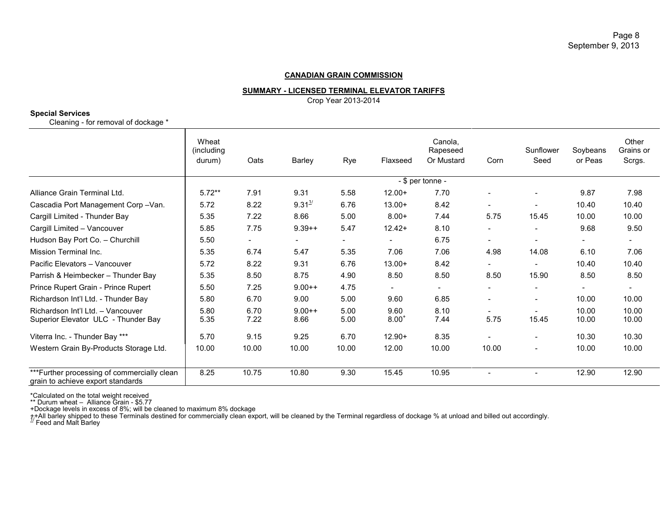## **SUMMARY - LICENSED TERMINAL ELEVATOR TARIFFS**

Crop Year 2013-2014

## **Special Services**

Cleaning - for removal of dockage \*

|                                                                                   | Wheat<br>(including<br>durum) | Oats                     | Barley                   | Rye          | Flaxseed           | Canola,<br>Rapeseed<br>Or Mustard | Corn                     | Sunflower<br>Seed        | Soybeans<br>or Peas      | Other<br>Grains or<br>Scrgs. |  |
|-----------------------------------------------------------------------------------|-------------------------------|--------------------------|--------------------------|--------------|--------------------|-----------------------------------|--------------------------|--------------------------|--------------------------|------------------------------|--|
|                                                                                   |                               | $-$ \$ per tonne $-$     |                          |              |                    |                                   |                          |                          |                          |                              |  |
| Alliance Grain Terminal Ltd.                                                      | $5.72**$                      | 7.91                     | 9.31                     | 5.58         | $12.00+$           | 7.70                              |                          |                          | 9.87                     | 7.98                         |  |
| Cascadia Port Management Corp-Van.                                                | 5.72                          | 8.22                     | $9.31^{1/2}$             | 6.76         | $13.00+$           | 8.42                              | $\overline{\phantom{a}}$ |                          | 10.40                    | 10.40                        |  |
| Cargill Limited - Thunder Bay                                                     | 5.35                          | 7.22                     | 8.66                     | 5.00         | $8.00+$            | 7.44                              | 5.75                     | 15.45                    | 10.00                    | 10.00                        |  |
| Cargill Limited - Vancouver                                                       | 5.85                          | 7.75                     | $9.39++$                 | 5.47         | $12.42+$           | 8.10                              | $\overline{\phantom{a}}$ |                          | 9.68                     | 9.50                         |  |
| Hudson Bay Port Co. - Churchill                                                   | 5.50                          | $\overline{\phantom{0}}$ | $\overline{\phantom{a}}$ | $\sim$       | $\sim$             | 6.75                              | $\overline{\phantom{a}}$ | $\overline{\phantom{a}}$ | $\overline{\phantom{a}}$ | $\overline{\phantom{a}}$     |  |
| Mission Terminal Inc.                                                             | 5.35                          | 6.74                     | 5.47                     | 5.35         | 7.06               | 7.06                              | 4.98                     | 14.08                    | 6.10                     | 7.06                         |  |
| Pacific Elevators - Vancouver                                                     | 5.72                          | 8.22                     | 9.31                     | 6.76         | $13.00+$           | 8.42                              | $\overline{\phantom{a}}$ |                          | 10.40                    | 10.40                        |  |
| Parrish & Heimbecker - Thunder Bay                                                | 5.35                          | 8.50                     | 8.75                     | 4.90         | 8.50               | 8.50                              | 8.50                     | 15.90                    | 8.50                     | 8.50                         |  |
| Prince Rupert Grain - Prince Rupert                                               | 5.50                          | 7.25                     | $9.00++$                 | 4.75         | $\blacksquare$     | $\overline{\phantom{a}}$          | $\overline{\phantom{a}}$ |                          |                          | $\overline{\phantom{a}}$     |  |
| Richardson Int'l Ltd. - Thunder Bay                                               | 5.80                          | 6.70                     | 9.00                     | 5.00         | 9.60               | 6.85                              | $\overline{\phantom{a}}$ | $\overline{\phantom{a}}$ | 10.00                    | 10.00                        |  |
| Richardson Int'l Ltd. - Vancouver<br>Superior Elevator ULC - Thunder Bay          | 5.80<br>5.35                  | 6.70<br>7.22             | $9.00++$<br>8.66         | 5.00<br>5.00 | 9.60<br>$8.00^{+}$ | 8.10<br>7.44                      | 5.75                     | 15.45                    | 10.00<br>10.00           | 10.00<br>10.00               |  |
| Viterra Inc. - Thunder Bay ***                                                    | 5.70                          | 9.15                     | 9.25                     | 6.70         | $12.90+$           | 8.35                              | $\overline{\phantom{a}}$ | $\overline{\phantom{a}}$ | 10.30                    | 10.30                        |  |
| Western Grain By-Products Storage Ltd.                                            | 10.00                         | 10.00                    | 10.00                    | 10.00        | 12.00              | 10.00                             | 10.00                    | $\overline{\phantom{a}}$ | 10.00                    | 10.00                        |  |
| *** Further processing of commercially clean<br>grain to achieve export standards | 8.25                          | 10.75                    | 10.80                    | 9.30         | 15.45              | 10.95                             |                          |                          | 12.90                    | 12.90                        |  |

\*Calculated on the total weight received

\*\* Durum wheat – Alliance Grain - \$5.77

+Dockage levels in excess of 8%; will be cleaned to maximum 8% dockage

++All barley shipped to these Terminals destined for commercially clean export, will be cleaned by the Terminal regardless of dockage % at unload and billed out accordingly.<br><sup>1/</sup> Feed and Malt Barley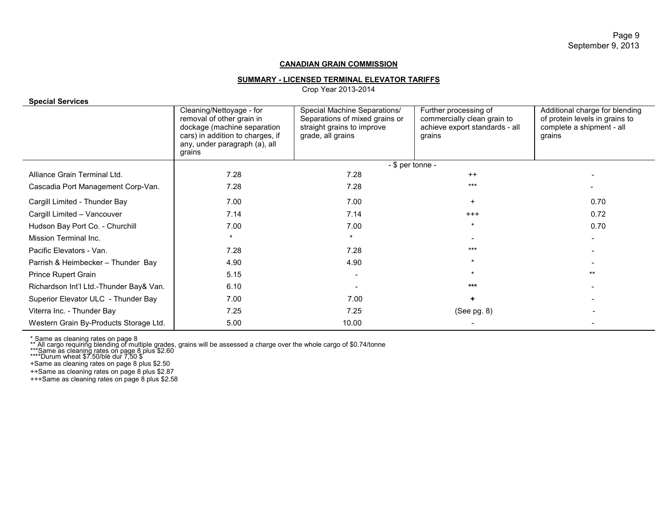#### **SUMMARY - LICENSED TERMINAL ELEVATOR TARIFFS**

Crop Year 2013-2014

| <b>Special Services</b>                 |                                                                                                                                                                     |                                                                                                                   |                                                                                                  |                                                                                                         |
|-----------------------------------------|---------------------------------------------------------------------------------------------------------------------------------------------------------------------|-------------------------------------------------------------------------------------------------------------------|--------------------------------------------------------------------------------------------------|---------------------------------------------------------------------------------------------------------|
|                                         | Cleaning/Nettoyage - for<br>removal of other grain in<br>dockage (machine separation<br>cars) in addition to charges, if<br>any, under paragraph (a), all<br>grains | Special Machine Separations/<br>Separations of mixed grains or<br>straight grains to improve<br>grade, all grains | Further processing of<br>commercially clean grain to<br>achieve export standards - all<br>grains | Additional charge for blending<br>of protein levels in grains to<br>complete a shipment - all<br>grains |
|                                         |                                                                                                                                                                     | - \$ per tonne -                                                                                                  |                                                                                                  |                                                                                                         |
| Alliance Grain Terminal Ltd.            | 7.28                                                                                                                                                                | 7.28                                                                                                              | $++$                                                                                             |                                                                                                         |
| Cascadia Port Management Corp-Van.      | 7.28                                                                                                                                                                | 7.28                                                                                                              | ***                                                                                              |                                                                                                         |
| Cargill Limited - Thunder Bay           | 7.00                                                                                                                                                                | 7.00                                                                                                              | $+$                                                                                              | 0.70                                                                                                    |
| Cargill Limited - Vancouver             | 7.14                                                                                                                                                                | 7.14                                                                                                              | $^{+++}$                                                                                         | 0.72                                                                                                    |
| Hudson Bay Port Co. - Churchill         | 7.00                                                                                                                                                                | 7.00                                                                                                              |                                                                                                  | 0.70                                                                                                    |
| Mission Terminal Inc.                   | $\star$                                                                                                                                                             |                                                                                                                   |                                                                                                  |                                                                                                         |
| Pacific Elevators - Van.                | 7.28                                                                                                                                                                | 7.28                                                                                                              | $***$                                                                                            |                                                                                                         |
| Parrish & Heimbecker - Thunder Bay      | 4.90                                                                                                                                                                | 4.90                                                                                                              |                                                                                                  |                                                                                                         |
| Prince Rupert Grain                     | 5.15                                                                                                                                                                |                                                                                                                   | $\star$                                                                                          | $***$                                                                                                   |
| Richardson Int'l Ltd.-Thunder Bay& Van. | 6.10                                                                                                                                                                |                                                                                                                   | ***                                                                                              |                                                                                                         |
| Superior Elevator ULC - Thunder Bay     | 7.00                                                                                                                                                                | 7.00                                                                                                              | ÷                                                                                                |                                                                                                         |
| Viterra Inc. - Thunder Bay              | 7.25                                                                                                                                                                | 7.25                                                                                                              | $(See$ pg. $8)$                                                                                  |                                                                                                         |
| Western Grain By-Products Storage Ltd.  | 5.00                                                                                                                                                                | 10.00                                                                                                             |                                                                                                  |                                                                                                         |

\* Same as cleaning rates on page 8<br>\*\* All cargo requiring blending of multiple grades, grains will be assessed a charge over the whole cargo of \$0.74/tonne<br>\*\*\*Same as cleaning rates on page 8 plus \$2.60<br>\*\*\*\*Durum wheat \$7.

+Same as cleaning rates on page 8 plus \$2.50

++Same as cleaning rates on page 8 plus \$2.87

+++Same as cleaning rates on page 8 plus \$2.58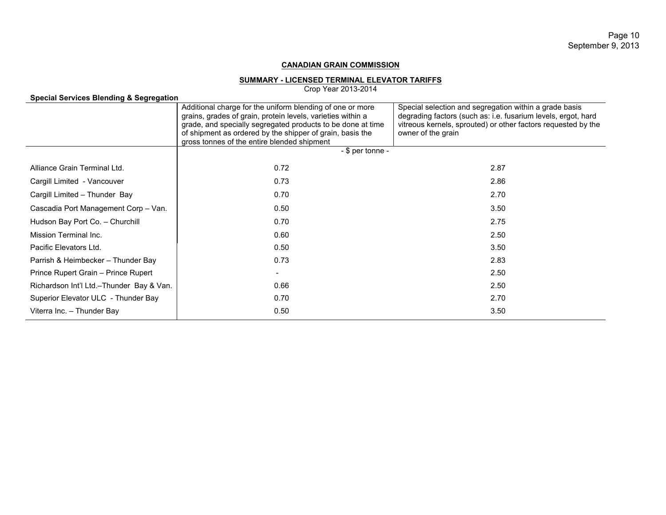#### **SUMMARY - LICENSED TERMINAL ELEVATOR TARIFFS**

Crop Year 2013-2014

| Special Services Blending & Segregation  |                                                                                                                                                                                                                                                                                                     |                                                                                                                                                                                                                |
|------------------------------------------|-----------------------------------------------------------------------------------------------------------------------------------------------------------------------------------------------------------------------------------------------------------------------------------------------------|----------------------------------------------------------------------------------------------------------------------------------------------------------------------------------------------------------------|
|                                          | Additional charge for the uniform blending of one or more<br>grains, grades of grain, protein levels, varieties within a<br>grade, and specially segregated products to be done at time<br>of shipment as ordered by the shipper of grain, basis the<br>gross tonnes of the entire blended shipment | Special selection and segregation within a grade basis<br>degrading factors (such as: i.e. fusarium levels, ergot, hard<br>vitreous kernels, sprouted) or other factors requested by the<br>owner of the grain |
|                                          | $-$ \$ per tonne $-$                                                                                                                                                                                                                                                                                |                                                                                                                                                                                                                |
| Alliance Grain Terminal Ltd.             | 0.72                                                                                                                                                                                                                                                                                                | 2.87                                                                                                                                                                                                           |
| Cargill Limited - Vancouver              | 0.73                                                                                                                                                                                                                                                                                                | 2.86                                                                                                                                                                                                           |
| Cargill Limited - Thunder Bay            | 0.70                                                                                                                                                                                                                                                                                                | 2.70                                                                                                                                                                                                           |
| Cascadia Port Management Corp - Van.     | 0.50                                                                                                                                                                                                                                                                                                | 3.50                                                                                                                                                                                                           |
| Hudson Bay Port Co. - Churchill          | 0.70                                                                                                                                                                                                                                                                                                | 2.75                                                                                                                                                                                                           |
| Mission Terminal Inc.                    | 0.60                                                                                                                                                                                                                                                                                                | 2.50                                                                                                                                                                                                           |
| Pacific Elevators Ltd.                   | 0.50                                                                                                                                                                                                                                                                                                | 3.50                                                                                                                                                                                                           |
| Parrish & Heimbecker - Thunder Bay       | 0.73                                                                                                                                                                                                                                                                                                | 2.83                                                                                                                                                                                                           |
| Prince Rupert Grain - Prince Rupert      | $\sim$                                                                                                                                                                                                                                                                                              | 2.50                                                                                                                                                                                                           |
| Richardson Int'l Ltd.-Thunder Bay & Van. | 0.66                                                                                                                                                                                                                                                                                                | 2.50                                                                                                                                                                                                           |
| Superior Elevator ULC - Thunder Bay      | 0.70                                                                                                                                                                                                                                                                                                | 2.70                                                                                                                                                                                                           |
| Viterra Inc. - Thunder Bay               | 0.50                                                                                                                                                                                                                                                                                                | 3.50                                                                                                                                                                                                           |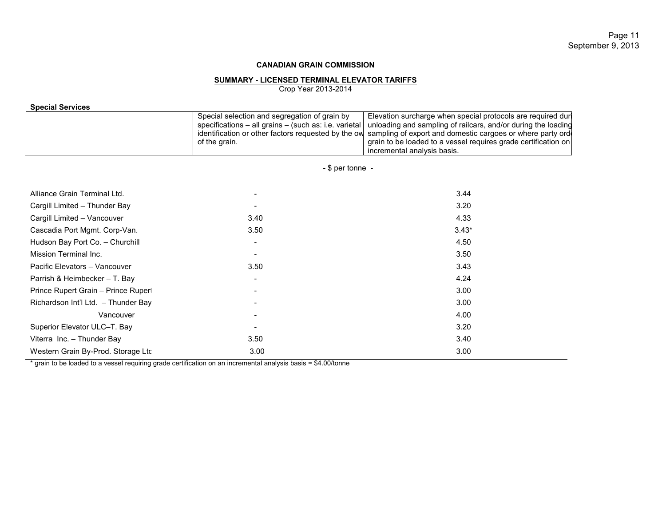# Page 11 September 9, 2013

## **CANADIAN GRAIN COMMISSION**

## **SUMMARY - LICENSED TERMINAL ELEVATOR TARIFFS**

Crop Year 2013-2014

| <b>Special Services</b>             |                                                                                                                                                                                |                                                                                                                                                                                                                                                                                             |  |  |  |  |
|-------------------------------------|--------------------------------------------------------------------------------------------------------------------------------------------------------------------------------|---------------------------------------------------------------------------------------------------------------------------------------------------------------------------------------------------------------------------------------------------------------------------------------------|--|--|--|--|
|                                     | Special selection and segregation of grain by<br>specifications - all grains - (such as: i.e. varietal<br>identification or other factors requested by the ow<br>of the grain. | Elevation surcharge when special protocols are required dur<br>unloading and sampling of railcars, and/or during the loading<br>sampling of export and domestic cargoes or where party ord<br>grain to be loaded to a vessel requires grade certification on<br>incremental analysis basis. |  |  |  |  |
|                                     | $-$ \$ per tonne $-$                                                                                                                                                           |                                                                                                                                                                                                                                                                                             |  |  |  |  |
| Alliance Grain Terminal Ltd.        |                                                                                                                                                                                | 3.44                                                                                                                                                                                                                                                                                        |  |  |  |  |
| Cargill Limited - Thunder Bay       |                                                                                                                                                                                | 3.20                                                                                                                                                                                                                                                                                        |  |  |  |  |
| Cargill Limited - Vancouver         | 3.40                                                                                                                                                                           | 4.33                                                                                                                                                                                                                                                                                        |  |  |  |  |
| Cascadia Port Mgmt. Corp-Van.       | 3.50                                                                                                                                                                           | $3.43*$                                                                                                                                                                                                                                                                                     |  |  |  |  |
| Hudson Bay Port Co. - Churchill     |                                                                                                                                                                                | 4.50                                                                                                                                                                                                                                                                                        |  |  |  |  |
| Mission Terminal Inc.               |                                                                                                                                                                                | 3.50                                                                                                                                                                                                                                                                                        |  |  |  |  |
| Pacific Elevators - Vancouver       | 3.50                                                                                                                                                                           | 3.43                                                                                                                                                                                                                                                                                        |  |  |  |  |
| Parrish & Heimbecker - T. Bay       |                                                                                                                                                                                | 4.24                                                                                                                                                                                                                                                                                        |  |  |  |  |
| Prince Rupert Grain - Prince Rupert |                                                                                                                                                                                | 3.00                                                                                                                                                                                                                                                                                        |  |  |  |  |
| Richardson Int'l Ltd. - Thunder Bay |                                                                                                                                                                                | 3.00                                                                                                                                                                                                                                                                                        |  |  |  |  |
| Vancouver                           |                                                                                                                                                                                | 4.00                                                                                                                                                                                                                                                                                        |  |  |  |  |
| Superior Elevator ULC-T. Bay        |                                                                                                                                                                                | 3.20                                                                                                                                                                                                                                                                                        |  |  |  |  |
| Viterra Inc. - Thunder Bay          | 3.50                                                                                                                                                                           | 3.40                                                                                                                                                                                                                                                                                        |  |  |  |  |
| Western Grain By-Prod. Storage Ltc  | 3.00                                                                                                                                                                           | 3.00                                                                                                                                                                                                                                                                                        |  |  |  |  |

\* grain to be loaded to a vessel requiring grade certification on an incremental analysis basis = \$4.00/tonne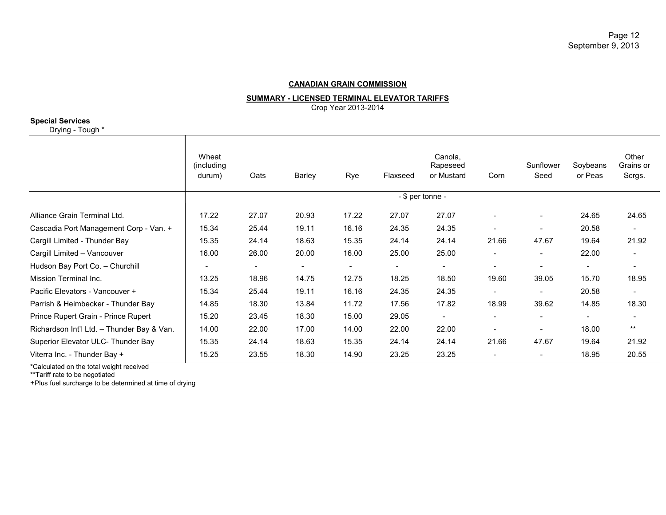**SUMMARY - LICENSED TERMINAL ELEVATOR TARIFFS**

Crop Year 2013-2014

#### **Special Services**

Drying - Tough \*

|                                            | Wheat<br>(including)<br>durum) | Oats                     | Barley                   | Rye                      | Flaxseed                 | Canola,<br>Rapeseed<br>or Mustard | Corn                     | Sunflower<br>Seed        | Soybeans<br>or Peas      | Other<br>Grains or<br>Scrgs. |
|--------------------------------------------|--------------------------------|--------------------------|--------------------------|--------------------------|--------------------------|-----------------------------------|--------------------------|--------------------------|--------------------------|------------------------------|
|                                            | - \$ per tonne -               |                          |                          |                          |                          |                                   |                          |                          |                          |                              |
| Alliance Grain Terminal Ltd.               | 17.22                          | 27.07                    | 20.93                    | 17.22                    | 27.07                    | 27.07                             | $\blacksquare$           |                          | 24.65                    | 24.65                        |
| Cascadia Port Management Corp - Van. +     | 15.34                          | 25.44                    | 19.11                    | 16.16                    | 24.35                    | 24.35                             |                          |                          | 20.58                    |                              |
| Cargill Limited - Thunder Bay              | 15.35                          | 24.14                    | 18.63                    | 15.35                    | 24.14                    | 24.14                             | 21.66                    | 47.67                    | 19.64                    | 21.92                        |
| Cargill Limited - Vancouver                | 16.00                          | 26.00                    | 20.00                    | 16.00                    | 25.00                    | 25.00                             | $\overline{\phantom{0}}$ | $\overline{\phantom{a}}$ | 22.00                    |                              |
| Hudson Bay Port Co. - Churchill            | $\blacksquare$                 | $\overline{\phantom{a}}$ | $\overline{\phantom{a}}$ | $\overline{\phantom{a}}$ | $\overline{\phantom{a}}$ | $\blacksquare$                    | $\blacksquare$           | $\overline{\phantom{a}}$ | $\overline{\phantom{a}}$ | $\overline{\phantom{a}}$     |
| Mission Terminal Inc.                      | 13.25                          | 18.96                    | 14.75                    | 12.75                    | 18.25                    | 18.50                             | 19.60                    | 39.05                    | 15.70                    | 18.95                        |
| Pacific Elevators - Vancouver +            | 15.34                          | 25.44                    | 19.11                    | 16.16                    | 24.35                    | 24.35                             |                          |                          | 20.58                    |                              |
| Parrish & Heimbecker - Thunder Bay         | 14.85                          | 18.30                    | 13.84                    | 11.72                    | 17.56                    | 17.82                             | 18.99                    | 39.62                    | 14.85                    | 18.30                        |
| Prince Rupert Grain - Prince Rupert        | 15.20                          | 23.45                    | 18.30                    | 15.00                    | 29.05                    | $\blacksquare$                    | $\overline{\phantom{0}}$ |                          |                          |                              |
| Richardson Int'l Ltd. - Thunder Bay & Van. | 14.00                          | 22.00                    | 17.00                    | 14.00                    | 22.00                    | 22.00                             |                          |                          | 18.00                    | $***$                        |
| Superior Elevator ULC- Thunder Bay         | 15.35                          | 24.14                    | 18.63                    | 15.35                    | 24.14                    | 24.14                             | 21.66                    | 47.67                    | 19.64                    | 21.92                        |
| Viterra Inc. - Thunder Bay +               | 15.25                          | 23.55                    | 18.30                    | 14.90                    | 23.25                    | 23.25                             | $\overline{\phantom{0}}$ |                          | 18.95                    | 20.55                        |

\*Calculated on the total weight received

\*\*Tariff rate to be negotiated

+Plus fuel surcharge to be determined at time of drying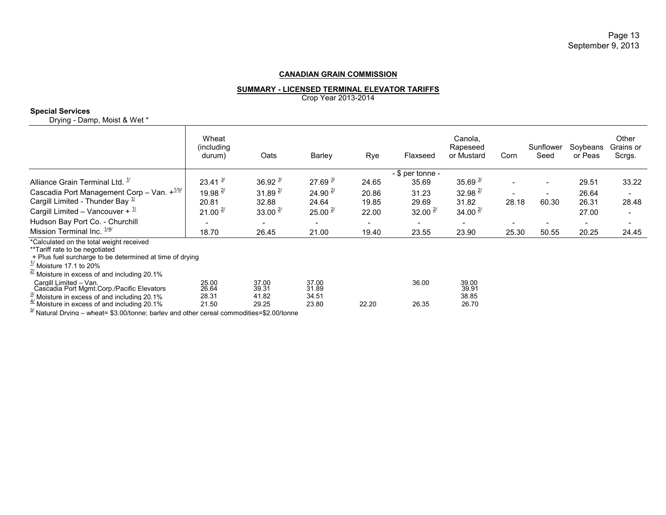#### **SUMMARY - LICENSED TERMINAL ELEVATOR TARIFFS**

Crop Year 2013-2014

#### **Special Services**

Drying - Damp, Moist & Wet \*

|                                                                                                                                                                                                                                           | Wheat<br>(including)<br>durum) | Oats                     | Barley                   | Rye   | Flaxseed                  | Canola,<br>Rapeseed<br>or Mustard | Corn                     | Sunflower<br>Seed | Soybeans<br>or Peas      | Other<br>Grains or<br>Scrgs. |
|-------------------------------------------------------------------------------------------------------------------------------------------------------------------------------------------------------------------------------------------|--------------------------------|--------------------------|--------------------------|-------|---------------------------|-----------------------------------|--------------------------|-------------------|--------------------------|------------------------------|
| Alliance Grain Terminal Ltd. <sup>17</sup>                                                                                                                                                                                                | $23.41^{3/2}$                  | $36.92^{3/2}$            | 27.69 $\frac{3}{2}$      | 24.65 | - \$ per tonne -<br>35.69 | $35.69$ $3/$                      |                          |                   | 29.51                    | 33.22                        |
|                                                                                                                                                                                                                                           |                                |                          |                          |       |                           |                                   |                          |                   |                          |                              |
| Cascadia Port Management Corp - Van. $+^{1/5/2}$                                                                                                                                                                                          | 19.98 $^{2/}$                  | $31.89^{27}$             | 24.90 $^{2/2}$           | 20.86 | 31.23                     | $32.98$ <sup>2/</sup>             |                          |                   | 26.64                    | $\overline{\phantom{a}}$     |
| Cargill Limited - Thunder Bay $\frac{1}{2}$                                                                                                                                                                                               | 20.81                          | 32.88                    | 24.64                    | 19.85 | 29.69                     | 31.82                             | 28.18                    | 60.30             | 26.31                    | 28.48                        |
| Cargill Limited - Vancouver + $\frac{1}{1}$                                                                                                                                                                                               | $21.00^{27}$                   | $33.00^{27}$             | $25.00^{27}$             | 22.00 | $32.00^{27}$              | 34.00 $^{2/}$                     |                          |                   | 27.00                    | $\overline{\phantom{a}}$     |
| Hudson Bay Port Co. - Churchill                                                                                                                                                                                                           |                                | $\overline{\phantom{a}}$ | $\overline{\phantom{a}}$ | ۰     | ۰                         | $\overline{\phantom{a}}$          | $\overline{\phantom{a}}$ |                   | $\overline{\phantom{a}}$ | $\overline{\phantom{a}}$     |
| Mission Terminal Inc. $\frac{1}{4}$                                                                                                                                                                                                       | 18.70                          | 26.45                    | 21.00                    | 19.40 | 23.55                     | 23.90                             | 25.30                    | 50.55             | 20.25                    | 24.45                        |
| *Calculated on the total weight received<br>**Tariff rate to be negotiated<br>+ Plus fuel surcharge to be determined at time of drying<br>$\frac{1}{1}$ Moisture 17.1 to 20%<br>$\frac{27}{10}$ Moisture in excess of and including 20.1% |                                |                          |                          |       |                           |                                   |                          |                   |                          |                              |
| Cargill Limited - Van.<br>Cascadia Port Mgmt.Corp./Pacific Elevators                                                                                                                                                                      | 25.00<br>26.64                 | 37.00<br>39.31           | 37.00<br>31.89           |       | 36.00                     | 39.00<br>39.91                    |                          |                   |                          |                              |
| $\frac{3}{4}$ Moisture in excess of and including 20.1%<br>$\frac{4}{4}$ Moisture in excess of and including 20.1%                                                                                                                        | 28.31<br>21.50                 | 41.82<br>29.25           | 34.51<br>23.80           | 22.20 | 26.35                     | 38.85<br>26.70                    |                          |                   |                          |                              |
| $\frac{5}{2}$ Natural Drving – wheat= \$3.00/tonne; barley and other cereal commodities=\$2.00/tonne                                                                                                                                      |                                |                          |                          |       |                           |                                   |                          |                   |                          |                              |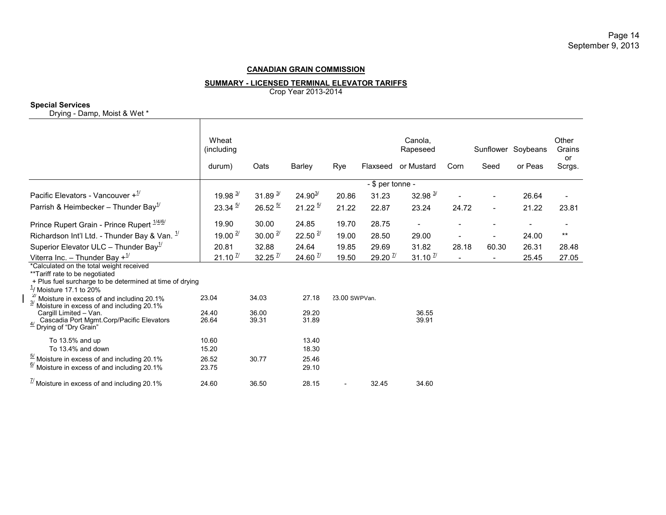#### **SUMMARY - LICENSED TERMINAL ELEVATOR TARIFFS**

Crop Year 2013-2014

## **Special Services**

Drying - Damp, Moist & Wet \*

|                                                                                                                                                                                | Wheat<br>(including<br>durum) | Oats                  | Barley                 | Rye           | Flaxseed              | Canola,<br>Rapeseed<br>or Mustard | Corn           | Seed  | Sunflower Soybeans<br>or Peas | Other<br>Grains<br>or<br>Scrgs. |
|--------------------------------------------------------------------------------------------------------------------------------------------------------------------------------|-------------------------------|-----------------------|------------------------|---------------|-----------------------|-----------------------------------|----------------|-------|-------------------------------|---------------------------------|
|                                                                                                                                                                                |                               |                       |                        |               | - \$ per tonne -      |                                   |                |       |                               |                                 |
| Pacific Elevators - Vancouver $+1$ <sup>1</sup>                                                                                                                                | 19.98 $3/$                    | $31.89^{3/2}$         | $24.90^{3/2}$          | 20.86         | 31.23                 | $32.98$ $\frac{3}{1}$             |                |       | 26.64                         |                                 |
| Parrish & Heimbecker - Thunder Bay <sup>1'</sup>                                                                                                                               | $23.34 \frac{5}{1}$           | $26.52 \frac{57}{1}$  | $21.22^{5/2}$          | 21.22         | 22.87                 | 23.24                             | 24.72          |       | 21.22                         | 23.81                           |
| Prince Rupert Grain - Prince Rupert <sup>1/4/6/</sup>                                                                                                                          | 19.90                         | 30.00                 | 24.85                  | 19.70         | 28.75                 |                                   |                |       |                               |                                 |
| Richardson Int'l Ltd. - Thunder Bay & Van. $\frac{1}{1}$                                                                                                                       | 19.00 $\frac{2}{1}$           | $30.00 \frac{27}{1}$  | $22.50$ $\frac{27}{1}$ | 19.00         | 28.50                 | 29.00                             |                |       | 24.00                         | $***$                           |
| Superior Elevator ULC - Thunder Bay <sup>1/</sup>                                                                                                                              | 20.81                         | 32.88                 | 24.64                  | 19.85         | 29.69                 | 31.82                             | 28.18          | 60.30 | 26.31                         | 28.48                           |
| Viterra Inc. - Thunder Bay $+^{1/2}$                                                                                                                                           | $21.10$ $\frac{7}{1}$         | $32.25$ $\frac{7}{1}$ | $24.60$ $\frac{7}{1}$  | 19.50         | $29.20$ $\frac{7}{1}$ | $31.10$ $\frac{7}{1}$             | $\blacksquare$ |       | 25.45                         | 27.05                           |
| *Calculated on the total weight received<br>**Tariff rate to be negotiated<br>+ Plus fuel surcharge to be determined at time of drying<br>$\frac{1}{1}$ / Moisture 17.1 to 20% |                               |                       |                        |               |                       |                                   |                |       |                               |                                 |
| $^{27}_{\sim}$ Moisture in excess of and including 20.1%<br>Moisture in excess of and including 20.1%                                                                          | 23.04                         | 34.03                 | 27.18                  | 23.00 SWPVan. |                       |                                   |                |       |                               |                                 |
| Cargill Limited - Van.<br>Cascadia Port Mgmt.Corp/Pacific Elevators<br>$\frac{47}{2}$ Drying of "Dry Grain"                                                                    | 24.40<br>26.64                | 36.00<br>39.31        | 29.20<br>31.89         |               |                       | 36.55<br>39.91                    |                |       |                               |                                 |
| To 13.5% and up                                                                                                                                                                | 10.60                         |                       | 13.40<br>18.30         |               |                       |                                   |                |       |                               |                                 |
| To 13.4% and down<br>$\frac{57}{1}$ Moisture in excess of and including 20.1%<br>$6/$ Moisture in excess of and including 20.1%                                                | 15.20<br>26.52<br>23.75       | 30.77                 | 25.46<br>29.10         |               |                       |                                   |                |       |                               |                                 |
| $\frac{1}{2}$ Moisture in excess of and including 20.1%                                                                                                                        | 24.60                         | 36.50                 | 28.15                  |               | 32.45                 | 34.60                             |                |       |                               |                                 |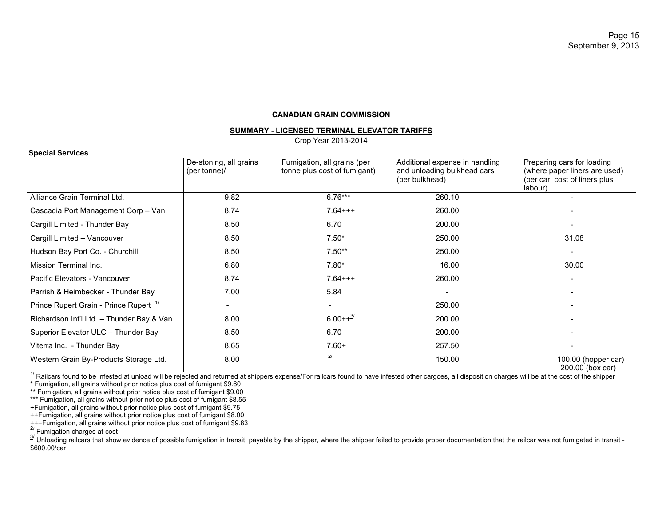#### **SUMMARY - LICENSED TERMINAL ELEVATOR TARIFFS**

Crop Year 2013-2014

#### **Special Services**

|                                                                                                                                                                                                                       | De-stoning, all grains<br>(per tonne)/ | Fumigation, all grains (per<br>tonne plus cost of fumigant) | Additional expense in handling<br>and unloading bulkhead cars<br>(per bulkhead) | Preparing cars for loading<br>(where paper liners are used)<br>(per car, cost of liners plus<br>labour) |
|-----------------------------------------------------------------------------------------------------------------------------------------------------------------------------------------------------------------------|----------------------------------------|-------------------------------------------------------------|---------------------------------------------------------------------------------|---------------------------------------------------------------------------------------------------------|
| Alliance Grain Terminal Ltd.                                                                                                                                                                                          | 9.82                                   | $6.76***$                                                   | 260.10                                                                          |                                                                                                         |
| Cascadia Port Management Corp - Van.                                                                                                                                                                                  | 8.74                                   | $7.64++$                                                    | 260.00                                                                          |                                                                                                         |
| Cargill Limited - Thunder Bay                                                                                                                                                                                         | 8.50                                   | 6.70                                                        | 200.00                                                                          |                                                                                                         |
| Cargill Limited - Vancouver                                                                                                                                                                                           | 8.50                                   | $7.50*$                                                     | 250.00                                                                          | 31.08                                                                                                   |
| Hudson Bay Port Co. - Churchill                                                                                                                                                                                       | 8.50                                   | $7.50**$                                                    | 250.00                                                                          |                                                                                                         |
| Mission Terminal Inc.                                                                                                                                                                                                 | 6.80                                   | $7.80*$                                                     | 16.00                                                                           | 30.00                                                                                                   |
| Pacific Elevators - Vancouver                                                                                                                                                                                         | 8.74                                   | $7.64++$                                                    | 260.00                                                                          |                                                                                                         |
| Parrish & Heimbecker - Thunder Bay                                                                                                                                                                                    | 7.00                                   | 5.84                                                        |                                                                                 |                                                                                                         |
| Prince Rupert Grain - Prince Rupert <sup>1/</sup>                                                                                                                                                                     |                                        |                                                             | 250.00                                                                          |                                                                                                         |
| Richardson Int'l Ltd. - Thunder Bay & Van.                                                                                                                                                                            | 8.00                                   | $6.00++^{3/2}$                                              | 200.00                                                                          |                                                                                                         |
| Superior Elevator ULC - Thunder Bay                                                                                                                                                                                   | 8.50                                   | 6.70                                                        | 200.00                                                                          |                                                                                                         |
| Viterra Inc. - Thunder Bay                                                                                                                                                                                            | 8.65                                   | $7.60+$                                                     | 257.50                                                                          |                                                                                                         |
| Western Grain By-Products Storage Ltd.                                                                                                                                                                                | 8.00                                   | 2/                                                          | 150.00                                                                          | 100.00 (hopper car)<br>200.00 (box car)                                                                 |
| <sup>1/</sup> Railcars found to be infested at unload will be rejected and returned at shippers expense/For railcars found to have infested other cargoes, all disposition charges will be at the cost of the shipper |                                        |                                                             |                                                                                 |                                                                                                         |

\* Fumigation, all grains without prior notice plus cost of fumigant \$9.60

\*\* Fumigation, all grains without prior notice plus cost of fumigant \$9.00

\*\*\* Fumigation, all grains without prior notice plus cost of fumigant \$8.55

+Fumigation, all grains without prior notice plus cost of fumigant \$9.75

++Fumigation, all grains without prior notice plus cost of fumigant \$8.00

+++Fumigation, all grains without prior notice plus cost of fumigant \$9.83

 $\frac{2}{3}$  Fumigation charges at cost

<sup>2/</sup> Unloading railcars that show evidence of possible fumigation in transit, payable by the shipper, where the shipper failed to provide proper documentation that the railcar was not fumigated in transit -\$600.00/car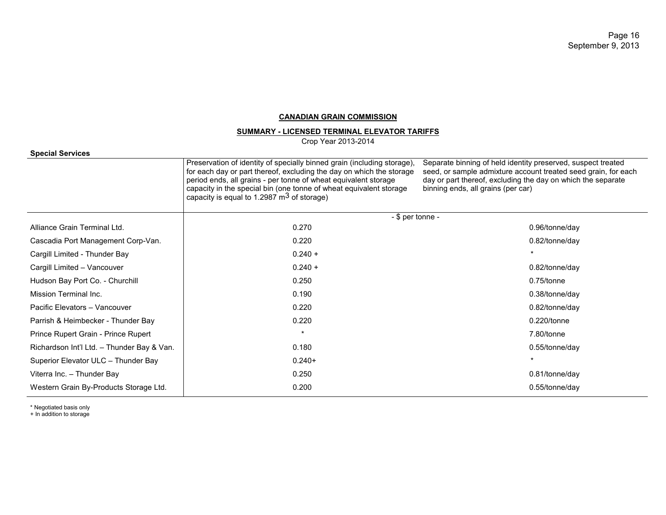# **SUMMARY - LICENSED TERMINAL ELEVATOR TARIFFS**

Crop Year 2013-2014

#### **Special Services**

|                                            | Preservation of identity of specially binned grain (including storage),<br>for each day or part thereof, excluding the day on which the storage<br>period ends, all grains - per tonne of wheat equivalent storage<br>capacity in the special bin (one tonne of wheat equivalent storage<br>capacity is equal to 1.2987 $\mathrm{m}^3$ of storage) | Separate binning of held identity preserved, suspect treated<br>seed, or sample admixture account treated seed grain, for each<br>day or part thereof, excluding the day on which the separate<br>binning ends, all grains (per car) |  |  |  |
|--------------------------------------------|----------------------------------------------------------------------------------------------------------------------------------------------------------------------------------------------------------------------------------------------------------------------------------------------------------------------------------------------------|--------------------------------------------------------------------------------------------------------------------------------------------------------------------------------------------------------------------------------------|--|--|--|
|                                            | - \$ per tonne -                                                                                                                                                                                                                                                                                                                                   |                                                                                                                                                                                                                                      |  |  |  |
| Alliance Grain Terminal Ltd.               | 0.270                                                                                                                                                                                                                                                                                                                                              | 0.96/tonne/day                                                                                                                                                                                                                       |  |  |  |
| Cascadia Port Management Corp-Van.         | 0.220                                                                                                                                                                                                                                                                                                                                              | 0.82/tonne/day                                                                                                                                                                                                                       |  |  |  |
| Cargill Limited - Thunder Bay              | $0.240 +$                                                                                                                                                                                                                                                                                                                                          |                                                                                                                                                                                                                                      |  |  |  |
| Cargill Limited - Vancouver                | $0.240 +$                                                                                                                                                                                                                                                                                                                                          | 0.82/tonne/day                                                                                                                                                                                                                       |  |  |  |
| Hudson Bay Port Co. - Churchill            | 0.250                                                                                                                                                                                                                                                                                                                                              | $0.75$ /tonne                                                                                                                                                                                                                        |  |  |  |
| Mission Terminal Inc.                      | 0.190                                                                                                                                                                                                                                                                                                                                              | 0.38/tonne/day                                                                                                                                                                                                                       |  |  |  |
| Pacific Elevators - Vancouver              | 0.220                                                                                                                                                                                                                                                                                                                                              | 0.82/tonne/day                                                                                                                                                                                                                       |  |  |  |
| Parrish & Heimbecker - Thunder Bay         | 0.220                                                                                                                                                                                                                                                                                                                                              | $0.220$ /tonne                                                                                                                                                                                                                       |  |  |  |
| Prince Rupert Grain - Prince Rupert        | $\star$                                                                                                                                                                                                                                                                                                                                            | 7.80/tonne                                                                                                                                                                                                                           |  |  |  |
| Richardson Int'l Ltd. - Thunder Bay & Van. | 0.180                                                                                                                                                                                                                                                                                                                                              | $0.55$ /tonne/day                                                                                                                                                                                                                    |  |  |  |
| Superior Elevator ULC - Thunder Bay        | $0.240+$                                                                                                                                                                                                                                                                                                                                           |                                                                                                                                                                                                                                      |  |  |  |
| Viterra Inc. - Thunder Bay                 | 0.250                                                                                                                                                                                                                                                                                                                                              | 0.81/tonne/day                                                                                                                                                                                                                       |  |  |  |
| Western Grain By-Products Storage Ltd.     | 0.200                                                                                                                                                                                                                                                                                                                                              | 0.55/tonne/day                                                                                                                                                                                                                       |  |  |  |

\* Negotiated basis only

+ In addition to storage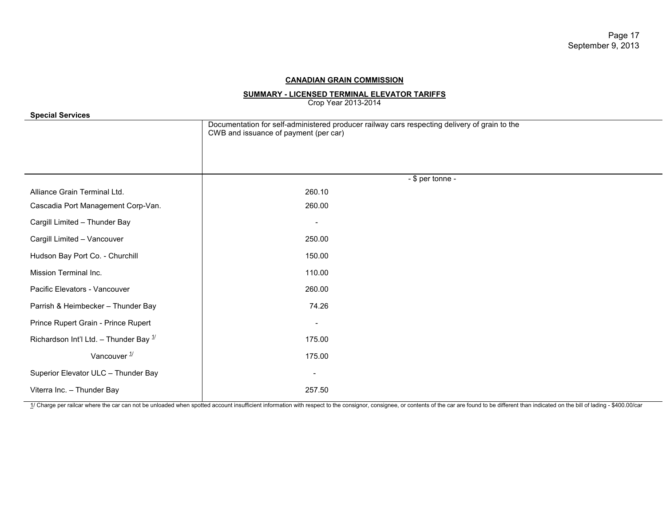# **SUMMARY - LICENSED TERMINAL ELEVATOR TARIFFS**

Crop Year 2013-2014

| <b>Special Services</b>                   |                                                                                                                                        |  |  |  |  |
|-------------------------------------------|----------------------------------------------------------------------------------------------------------------------------------------|--|--|--|--|
|                                           | Documentation for self-administered producer railway cars respecting delivery of grain to the<br>CWB and issuance of payment (per car) |  |  |  |  |
|                                           |                                                                                                                                        |  |  |  |  |
|                                           |                                                                                                                                        |  |  |  |  |
| Alliance Grain Terminal Ltd.              | - \$ per tonne -<br>260.10                                                                                                             |  |  |  |  |
| Cascadia Port Management Corp-Van.        | 260.00                                                                                                                                 |  |  |  |  |
| Cargill Limited - Thunder Bay             | $\overline{\phantom{a}}$                                                                                                               |  |  |  |  |
| Cargill Limited - Vancouver               | 250.00                                                                                                                                 |  |  |  |  |
| Hudson Bay Port Co. - Churchill           | 150.00                                                                                                                                 |  |  |  |  |
| Mission Terminal Inc.                     | 110.00                                                                                                                                 |  |  |  |  |
| Pacific Elevators - Vancouver             | 260.00                                                                                                                                 |  |  |  |  |
| Parrish & Heimbecker - Thunder Bay        | 74.26                                                                                                                                  |  |  |  |  |
| Prince Rupert Grain - Prince Rupert       | $\overline{\phantom{a}}$                                                                                                               |  |  |  |  |
| Richardson Int'l Ltd. - Thunder Bay $1/2$ | 175.00                                                                                                                                 |  |  |  |  |
| Vancouver $\frac{1}{1}$                   | 175.00                                                                                                                                 |  |  |  |  |
| Superior Elevator ULC - Thunder Bay       | $\overline{\phantom{a}}$                                                                                                               |  |  |  |  |
| Viterra Inc. - Thunder Bay                | 257.50                                                                                                                                 |  |  |  |  |

1/ Charge per railcar where the car can not be unloaded when spotted account insufficient information with respect to the consignor, consignee, or contents of the car are found to be different than indicated on the bill of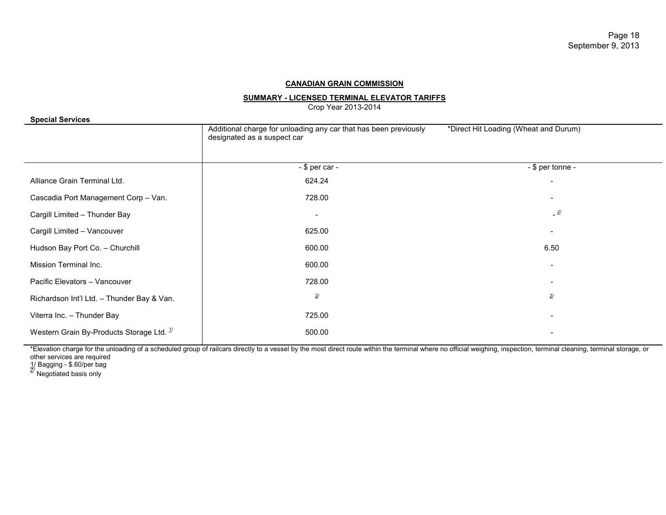## **SUMMARY - LICENSED TERMINAL ELEVATOR TARIFFS**

Crop Year 2013-2014

| <b>Special Services</b>                              |                                                                                                 |                                       |
|------------------------------------------------------|-------------------------------------------------------------------------------------------------|---------------------------------------|
|                                                      | Additional charge for unloading any car that has been previously<br>designated as a suspect car | *Direct Hit Loading (Wheat and Durum) |
|                                                      | $-$ \$ per car $-$                                                                              | - \$ per tonne -                      |
| Alliance Grain Terminal Ltd.                         | 624.24                                                                                          | $\overline{\phantom{a}}$              |
| Cascadia Port Management Corp - Van.                 | 728.00                                                                                          | -                                     |
| Cargill Limited - Thunder Bay                        | $\overline{\phantom{a}}$                                                                        | $\frac{2l}{2}$                        |
| Cargill Limited - Vancouver                          | 625.00                                                                                          |                                       |
| Hudson Bay Port Co. - Churchill                      | 600.00                                                                                          | 6.50                                  |
| Mission Terminal Inc.                                | 600.00                                                                                          |                                       |
| Pacific Elevators - Vancouver                        | 728.00                                                                                          | -                                     |
| Richardson Int'l Ltd. - Thunder Bay & Van.           | $2\prime$                                                                                       | $\overline{2}$                        |
| Viterra Inc. - Thunder Bay                           | 725.00                                                                                          |                                       |
| Western Grain By-Products Storage Ltd. <sup>1/</sup> | 500.00                                                                                          |                                       |

\*Elevation charge for the unloading of a scheduled group of railcars directly to a vessel by the most direct route within the terminal where no official weighing, inspection, terminal cleaning, terminal storage, or other services are required

1/ Bagging - \$.60/per bag<br><sup>2/</sup> Negotiated basis only